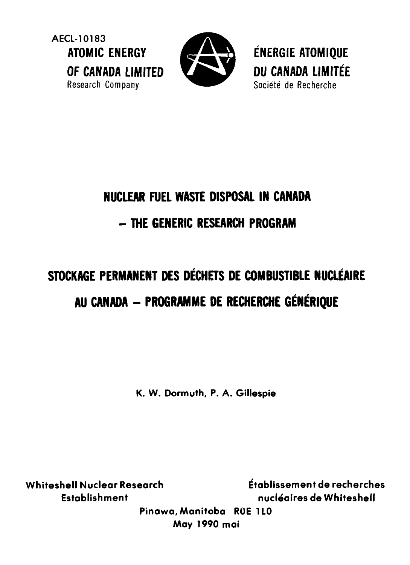**AECL-10183**<br>**ATOMIC FNERGY** OF CANADA LIMITED Research Company **Company** Société de Recherche



**ÉNERGIE ATOMIQUE** CANADA LIMITEE

# **NUCLEAR FUEL WASTE DISPOSAL IN CANADA - THE GENERIC RESEARCH PROGRAM**

# **STOCKAGE PERMANENT DES DECHETS DE COMBUSTIBLE NUCLEAIRE AU CANADA - PROGRAMME DE RECHERCHE GENERIQUE**

**K. W. Dormuth, P. A. Gillespie**

**Whiteshell Nuclear Research Etablissement de recherches Establishment nucleaires de Whiteshell Pinawa, Manitoba ROE 1LO May 1990 mai**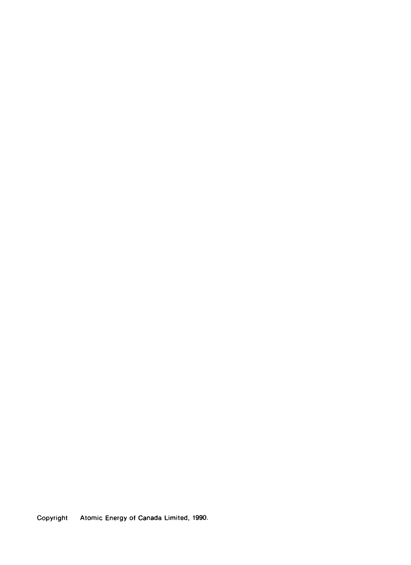Copyright Atomic Energy of Canada Limited, 1990.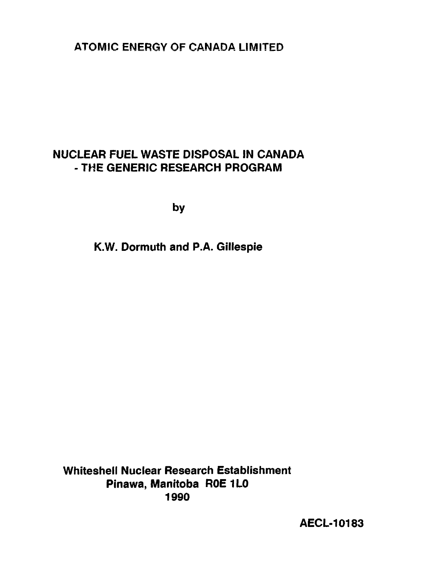**ATOMIC ENERGY OF CANADA LIMITED**

## **NUCLEAR FUEL WASTE DISPOSAL IN CANADA - THE GENERIC RESEARCH PROGRAM**

**by**

**K.W. Dormuth and P.A. Gillespie**

**Whiteshell Nuclear Research Establishment Pinawa, Manitoba R0E1L0 1990**

**AECL-10183**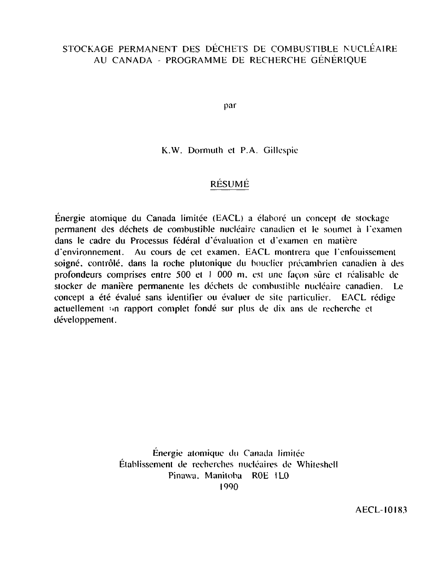### STOCKAGE PERMANENT DES DÉCHETS DE COMBUSTIBLE NUCLÉAIRE AU CANADA - PROGRAMME DE RECHERCHE GÉNÉRIQUE

par

K.W. Dormuth et P.A. Gillespie

#### RESUME

Énergie atomique du Canada limitée (EACL) a élaboré un concept de stockage permanent des déchets de combustible nucléaire canadien et le soumet à l'examen dans le cadre du Processus fédéral d'évaluation et d'examen en matière d'environnement. Au cours de cet examen. EACL montrera que l'enfouissement soigné, contrôlé, dans la roche plutonique du bouclier précambrien canadien à des profondeurs comprises entre 500 et 1 000 m. est une façon sûre et réalisable de stocker de manière permanente les déchets de combustible nucléaire canadien. Le concept a été évalué sans identifier ou évaluer de site particulier. EACL rédige actuellement -»n rapport complet fondé sur plus de dix ans de recherche et développement.

> Énergie atomique du Canada limitée Établissement de recherches nucléaires de Whiteshell Pinawa. Manitoba ROE IL0 1990

> > AECL-I0I83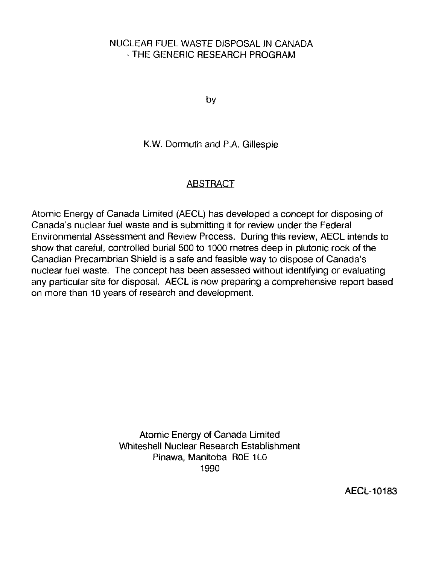#### NUCLEAR FUEL WASTE DISPOSAL IN CANADA - THE GENERIC RESEARCH PROGRAM

by

#### K.W. Dormuth and P.A. Gillespie

#### **ABSTRACT**

Atomic Energy of Canada Limited (AECL) has developed a concept for disposing of Canada's nuclear fuel waste and is submitting it for review under the Federal Environmental Assessment and Review Process. During this review, AECL intends to show that careful, controlled burial 500 to 1000 metres deep in plutonic rock of the Canadian Precambrian Shield is a safe and feasible way to dispose of Canada's nuclear fuel waste. The concept has been assessed without identifying or evaluating any particular site for disposal. AECL is now preparing a comprehensive report based on more than 10 years of research and development.

> Atomic Energy of Canada Limited Whiteshell Nuclear Research Establishment Pinawa, Manitoba ROE 1L0 1990

> > AECL-10183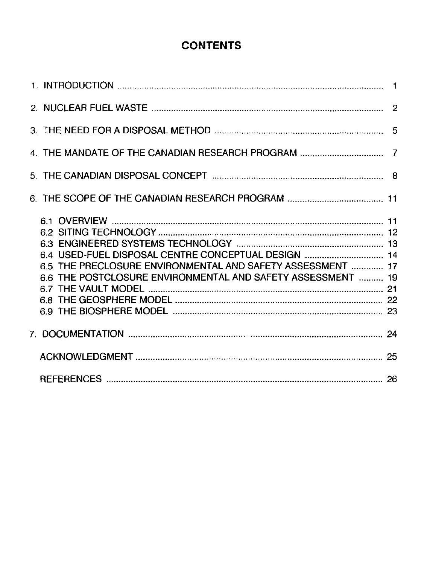## **CONTENTS**

| 6.4 USED-FUEL DISPOSAL CENTRE CONCEPTUAL DESIGN  14<br>6.5 THE PRECLOSURE ENVIRONMENTAL AND SAFETY ASSESSMENT  17<br>6.6 THE POSTCLOSURE ENVIRONMENTAL AND SAFETY ASSESSMENT  19 |  |
|----------------------------------------------------------------------------------------------------------------------------------------------------------------------------------|--|
|                                                                                                                                                                                  |  |
|                                                                                                                                                                                  |  |
|                                                                                                                                                                                  |  |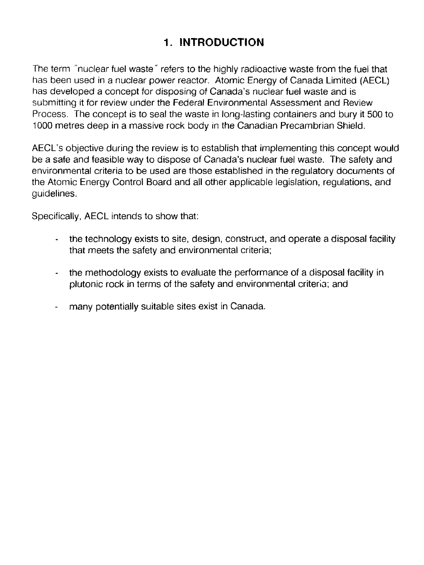## 1, INTRODUCTION

The term "nuclear fuel waste" refers to the highly radioactive waste from the fuel that has been used in a nuclear power reactor. Atomic Energy of Canada Limited (AECL) has developed a concept for disposing of Canada's nuclear fuel waste and is submitting it for review under the Federal Environmental Assessment and Review Process. The concept is to seal the waste in long-lasting containers and bury it 500 to 1000 metres deep in a massive rock body in the Canadian Precambrian Shield.

AECL's objective during the review is to establish that implementing this concept would be a safe and feasible way to dispose of Canada's nuclear fuel waste. The safety and environmental criteria to be used are those established in the regulatory documents of the Atomic Energy Control Board and all other applicable legislation, regulations, and guidelines.

Specifically, AECL intends to show that:

- the technology exists to site, design, construct, and operate a disposal facility that meets the safety and environmental criteria;
- the methodology exists to evaluate the performance of a disposal facility in plutonic rock in terms of the safety and environmental criteria; and
- many potentially suitable sites exist in Canada.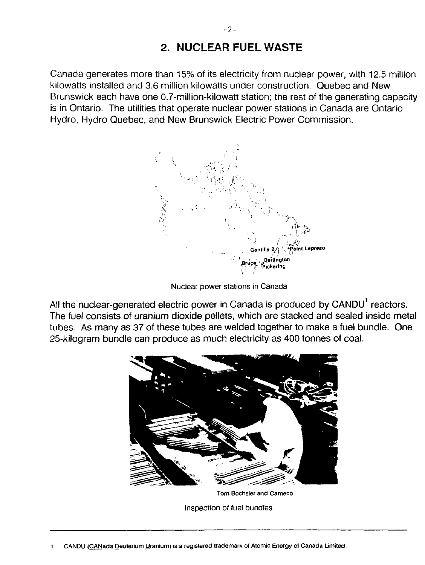## 2. NUCLEAR FUEL WASTE

Canada generates more than 15% of its electricity from nuclear power, with 12.5 million kilowatts installed and 3.6 million kilowatts under construction. Quebec and New Brunswick each have one 0.7-million-kilowatt station; the rest of the generating capacity is in Ontario. The utilities that operate nuclear power stations in Canada are Ontario Hydro, Hydro Quebec, and New Brunswick Electric Power Commission.



Nuclear power stations in Canada

All the nuclear-generated electric power in Canada is produced by CANDU<sup>1</sup> reactors. The fuel consists of uranium dioxide pellets, which are stacked and sealed inside metal tubes. As many as 37 of these tubes are welded together to make a fuel bundle. One 25-kilogram bundle can produce as much electricity as 400 tonnes of coal.



Tom Bochsler and Cameco

Inspection of fuel bundles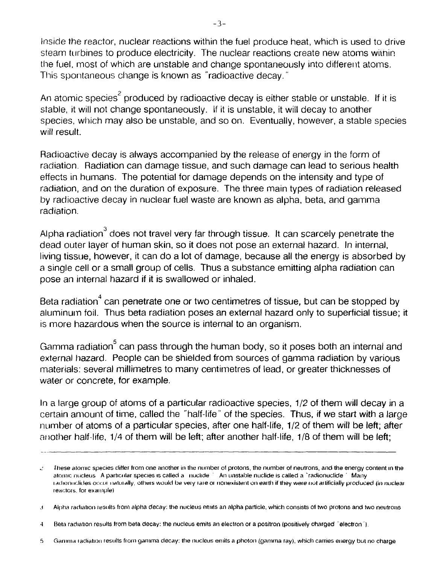Inside the reactor, nuclear reactions within the fuel produce heat, which is used to drive steam turbines to produce electricity. The nuclear reactions create new atoms wiinin the fuel, most of which are unstable and change spontaneously into different atoms. This spontaneous change is known as "radioactive decay."

An atomic species<sup>2</sup> produced by radioactive decay is either stable or unstable. If it is stable, it will not change spontaneously, if it is unstable, it will decay to another species, which may also be unstable, and so on. Eventually, however, a stable species will result.

Radioactive decay is always accompanied by the release of energy in the form of radiation. Radiation can damage tissue, and such damage can lead to serious health effects in humans. The potential for damage depends on the intensity and type of radiation, and on the duration of exposure. The three main types of radiation released by radioactive decay in nuclear fuel waste are known as alpha, beta, and gamma radiation.

Alpha radiation $3$  does not travel very far through tissue. It can scarcely penetrate the dead outer layer of human skin, so it does not pose an external hazard. In internal, living tissue, however, it can do a lot of damage, because all the energy is absorbed by a single cell or a small group of cells. Thus a substance emitting alpha radiation can pose an internal hazard if it is swallowed or inhaled.

Beta radiation $^4$  can penetrate one or two centimetres of tissue, but can be stopped by aluminum foil. Thus beta radiation poses an external hazard only to superficial tissue; it is more hazardous when the source is internal to an organism.

Gamma radiation<sup>5</sup> can pass through the human body, so it poses both an internal and external hazard. People can be shielded from sources of gamma radiation by various materials: several millimetres to many centimetres of lead, or greater thicknesses of water or concrete, for example.

In a large group of atoms of a particular radioactive species, 1/2 of them will decay in a certain amount of time, called the "half-life" of the species. Thus, if we start with a large number of atoms of a particular species, after one half-life, 1/2 of them will be left; after another half-life, 1/4 of them will be left; after another half-life, 1/8 of them will be left;

These atomic species ditter from one another in **the** number o1 protons, the number of neutrons, and the energy content in the  $\mathcal{L}$ atomic nucleus A particular species is called a muclide An unstable nuclide is called a "radionuclide" Many rachonuclides occur naturally, others would be very rare or nonexistent on earth if they were not artificially produced (in nuclear reactors, for example)

j Alpha radiation results from alpha decay: the nucleus emits an alpha particle, which consists of two protons and two neutrons

<sup>4</sup> Beta radiation results from beta decay: the nucleus emits an electron or a positron (positively charged "electron").

<sup>5</sup> Gamma ladiation results fioni gamma decay: the nucleus emits a photon (gamma ray), which carries energy but no charge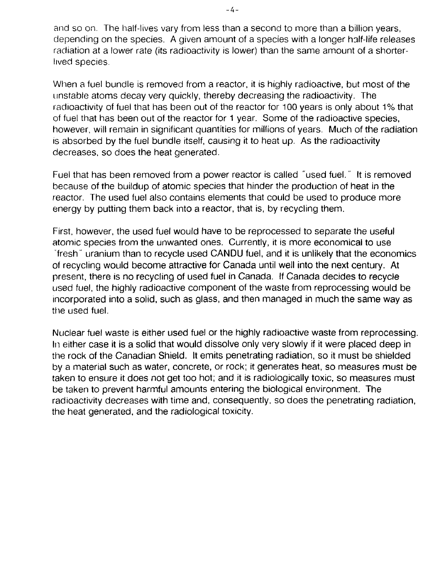and so on. The half-lives vary from less than a second to more than a billion years, depending on the species. A given amount of a species with a longer half-life releases radiation at a lower rate (its radioactivity is lower) than the same amount of a shorterlived species.

When a fuel bundle is removed from a reactor, it is highly radioactive, but most of the unstable atoms decay very quickly, thereby decreasing the radioactivity. The radioactivity of fuel that has been out of the reactor for 100 years is only about 1% that of fuel that has been out of the reactor for 1 year. Some of the radioactive species, however, will remain in significant quantities for millions of years. Much of the radiation is absorbed by the fuel bundle itself, causing it to heat up. As the radioactivity decreases, so does the heat generated.

Fuel that has been removed from a power reactor is called "used fuel." It is removed because of the buildup of atomic species that hinder the production of heat in the reactor. The used fuel also contains elements that could be used to produce more energy by putting them back into a reactor, that is, by recycling them.

First, however, the used fuel would have to be reprocessed to separate the useful atomic species from the unwanted ones. Currently, it is more economical to use fresh' uranium than to recycle used CANDU fuel, and it is unlikely that the economics of recycling would become attractive for Canada until well into the next century. At present, there is no recycling of used fuel in Canada. If Canada decides to recycle used fuel, the highly radioactive component of the waste from reprocessing would be incorporated into a solid, such as glass, and then managed in much the same way as the used fuel.

Nuclear fuel waste is either used fuel or the highly radioactive waste from reprocessing. In either case it is a solid that would dissolve only very slowly if it were placed deep in the rock of the Canadian Shield. It emits penetrating radiation, so it must be shielded by a material such as water, concrete, or rock; it generates heat, so measures must be taken to ensure it does not get too hot; and it is radiologically toxic, so measures must be taken to prevent harmful amounts entering the biological environment. The radioactivity decreases with time and, consequently, so does the penetrating radiation, the heat generated, and the radiological toxicity.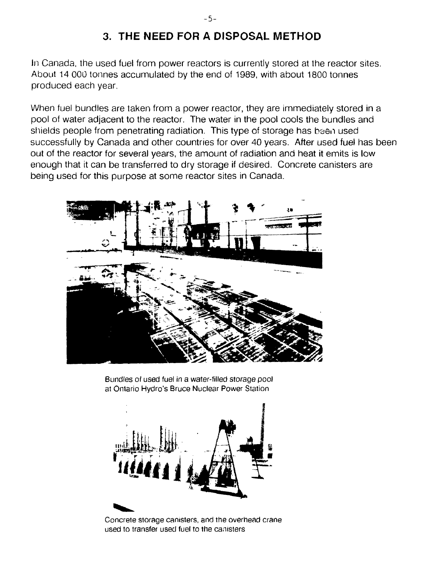## 3. THE NEED FOR A DISPOSAL METHOD

In Canada, the used fuel from power reactors is currently stored at the reactor sites. About 14 000 tonnes accumulated by the end of 1989, with about 1800 tonnes produced each year.

When fuel bundles are taken from a power reactor, they are immediately stored in a pool of water adjacent to the reactor. The water in the pool cools the bundles and shields people from penetrating radiation. This type of storage has been used successfully by Canada and other countries for over 40 years. After used fuel has been out of the reactor for several years, the amount of radiation and heat it emits is low enough that it can be transferred to dry storage if desired. Concrete canisters are being used for this purpose at some reactor sites in Canada.



Bundles of used fuel in a water-filled storage pool at Ontario Hydro's Bruce Nuclear Power Station



Concrete storage canisters, and the overhead crane used to transfer used fuel to the canisters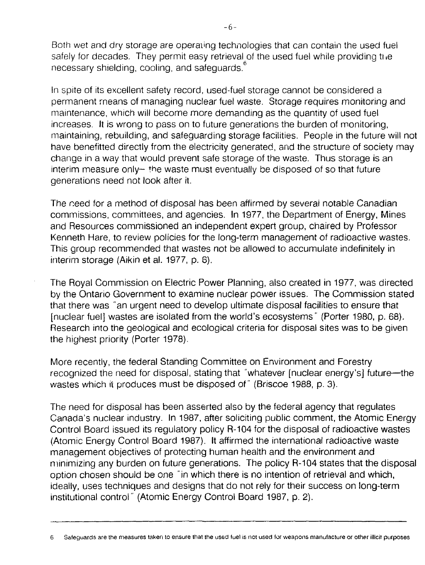Both wet and dry storage are operaung technologies that can contain the used fuel safely for decades. They permit easy retrieval of the used fuel while providing the necessary shielding, cooling, and safeguards.

In spite of its excellent safety record, used-fuel storage cannot be considered a permanent means of managing nuclear fuel waste. Storage requires monitoring and maintenance, which will become more demanding as the quantity of used fuel increases. It is wrong to pass on to future generations the burden of monitoring, maintaining, rebuilding, and safeguarding storage facilities. People in the future will not have benefitted directly from the electricity generated, and the structure of society may change in a way that would prevent safe storage of the waste. Thus storage is an  $interim$  measure only $\leftarrow$  the waste must eventually be disposed of so that future generations need not look after it.

The need for a method of disposal has been affirmed by severai notable Canadian commissions, committees, and agencies. In 1977, the Department of Energy, Mines and Resources commissioned an independent expert group, chaired by Professor Kenneth Hare, to review policies for the long-term management of radioactive wastes. This group recommended that wastes not be allowed to accumulate indefinitely in interim storage (Aikin et al. 1977, p. 6).

The Royal Commission on Electric Power Planning, also created in 1977, was directed by the Ontario Government to examine nuclear power issues. The Commission stated that there was "an urgent need to develop ultimate disposal facilities to ensure that [nuclear fuel] wastes are isolated from the world's ecosystems" (Porter 1980, p. 68). Research into the geological and ecological criteria for disposal sites was to be given the highest priority (Porter 1978).

More recently, the federal Standing Committee on Environment and Forestry recognized the need for disposal, stating that "whatever [nuclear energy's] future—the wastes which it produces must be disposed of" (Briscoe 1988, p. 3).

The need for disposal has been asserted also by the federal agency that regulates Canada's nuclear industry. In 1987, after soliciting public comment, the Atomic Energy Control Board issued its regulatory policy R-104 for the disposal of radioactive wastes (Atomic Energy Control Board 1987). It affirmed the international radioactive waste management objectives of protecting human health and the environment and minimizing any burden on future generations. The policy R-104 states that the disposal option chosen should be one "in which there is no intention of retrieval and which, ideally, uses techniques and designs that do not rely for their success on long-term institutional control" (Atomic Energy Control Board 1987, p. 2).

Safeguards are the measures taken to ensure that the used fuel is not used for weapons manufacture or other illicit purposes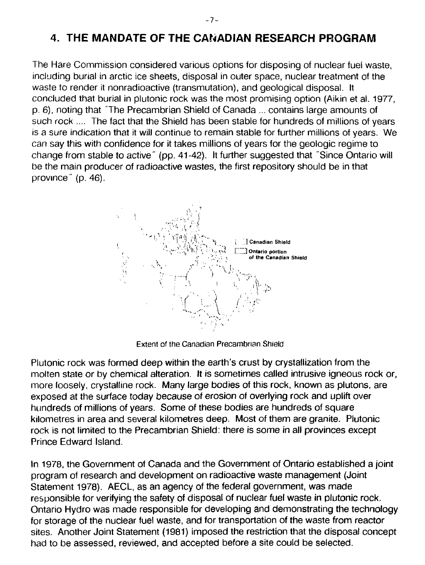The Hare Commission considered various options for disposing of nuclear fuel waste, including burial in arctic ice sheets, disposal in outer space, nuclear treatment of the waste to render it nonradioactive (transmutation), and geological disposal. It concluded that burial in plutonic rock was the most promising option (Aikin et al. 1977, p. 6), noting that The Precambrian Shield of Canada ... contains large amounts of such rock .... The fact that the Shield has been stable for hundreds of millions of years is a sure indication that it will continue to remain stable for further millions of years. We can say this with confidence for it takes millions of years for the geologic regime to change from stable to active" (pp. 41-42). It further suggested that "Since Ontario will be the main producer of radioactive wastes, the first repository should be in that province" (p. 46).



Extent of the Canadian Precambrian Shield

Plutonic rock was formed deep within the earth's crust by crystallization from the molten state or by chemical alteration. It is sometimes called intrusive igneous rock or, more loosely, crystalline rock. Many large bodies of this rock, known as plutons, are exposed at the surface today because of erosion of overlying rock and uplift over hundreds of millions of years. Some of these bodies are hundreds of square kilometres in area and several kilometres deep. Most of them are granite. Plutonic rock is not limited to the Precambrian Shield: there is some in all provinces except Prince Edward Island.

In 1978, the Government of Canada and the Government of Ontario established a joint program of research and development on radioactive waste management (Joint Statement 1978). AECL, as an agency of the federal government, was made responsible for verifying the safety of disposal of nuclear fuel waste in plutonic rock. Ontario Hydro was made responsible for developing and demonstrating the technology for storage of the nuclear fuel waste, and for transportation of the waste from reactor sites. Another Joint Statement (1981) imposed the restriction that the disposal concept had to be assessed, reviewed, and accepted before a site could be selected.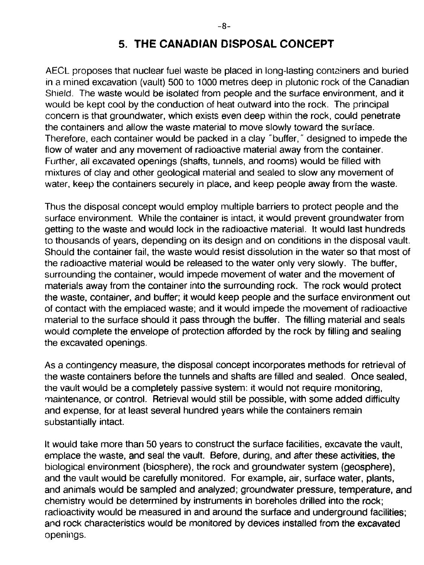## **5. THE CANADIAN DISPOSAL CONCEPT**

AECL proposes that nuclear fuel waste be placed in long-lasting containers and buried in a mined excavation (vault) 500 to 1000 metres deep in plutonic rock of the Canadian Shield. The waste would be isolated from people and the surface environment, and it would be kept cool by the conduction of heat outward into the rock. The principal concern is that groundwater, which exists even deep within the rock, could penetrate the containers and allow the waste material to move slowly toward the surface. Therefore, each container would be packed in a clay "buffer," designed to impede the flow of water and any movement of radioactive material away from the container. Further, all excavated openings (shafts, tunnels, and rooms) would be filled with mixtures of clay and other geological material and sealed to slow any movement of water, keep the containers securely in place, and keep people away from the waste.

Thus the disposal concept would employ multiple barriers to protect people and the surface environment. While the container is intact, it would prevent groundwater from getting to the waste and would lock in the radioactive material. It would last hundreds to thousands of years, depending on its design and on conditions in the disposal vault. Should the container fail, the waste would resist dissolution in the water so that most of the radioactive material would be released to the water only very slowly. The buffer, surrounding the container, would impede movement of water and the movement of materials away from the container into the surrounding rock. The rock would protect the waste, container, and buffer; it would keep people and the surface environment out of contact with the emplaced waste; and it would impede the movement of radioactive material to the surface should it pass through the buffer. The filling material and seals would complete the envelope of protection afforded by the rock by filling and sealing the excavated openings.

As a contingency measure, the disposal concept incorporates methods for retrieval of the waste containers before the tunnels and shafts are filled and sealed. Once sealed, the vault would be a completely passive system: it would not require monitoring, maintenance, or control. Retrieval would still be possible, with some added difficulty and expense, for at least several hundred years while the containers remain substantially intact.

It would take more than 50 years to construct the surface facilities, excavate the vault, emplace the waste, and seal the vault. Before, during, and after these activities, the biological environment (biosphere), the rock and groundwater system (geosphere), and the vault would be carefully monitored. For example, air, surface water, plants, and animals would be sampled and analyzed; groundwater pressure, temperature, and chemistry would be determined by instruments in boreholes drilled into the rock; radioactivity would be measured in and around the surface and underground facilities; and rock characteristics would be monitored by devices installed from the excavated openings.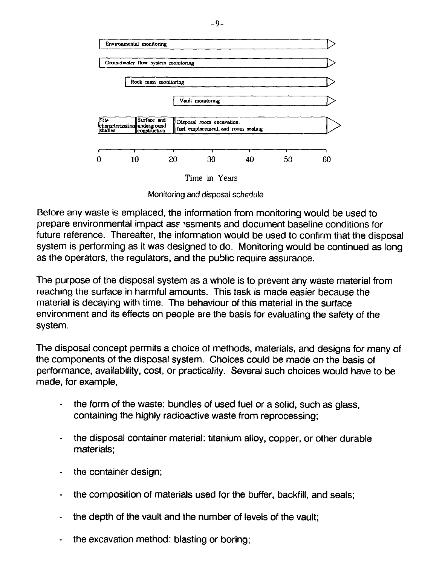



Monitoring and disposal schedule

Before any waste is emplaced, the information from monitoring would be used to prepare environmental impact as? >ssments and document baseline conditions for future reference. Thereafter, the information would be used to confirm that the disposal system is performing as it was designed to do. Monitoring would be continued as long as the operators, the regulators, and the public require assurance.

The purpose of the disposal system as a whole is to prevent any waste material from reaching the surface in harmful amounts. This task is made easier because the material is decaying with time. The behaviour of this material in the surface environment and its effects on people are the basis for evaluating the safety of the system.

The disposal concept permits a choice of methods, materials, and designs for many of the components of the disposal system. Choices could be made on the basis of performance, availability, cost, or practicality. Several such choices would have to be made, for example,

- the form of the waste: bundles of used fuel or a solid, such as glass, containing the highly radioactive waste from reprocessing;
- the disposal container material: titanium alloy, copper, or other durable materials;
- the container design;
- the composition of materials used for the buffer, backfill, and seals;
- the depth of the vault and the number of levels of the vault;
- the excavation method: blasting or boring;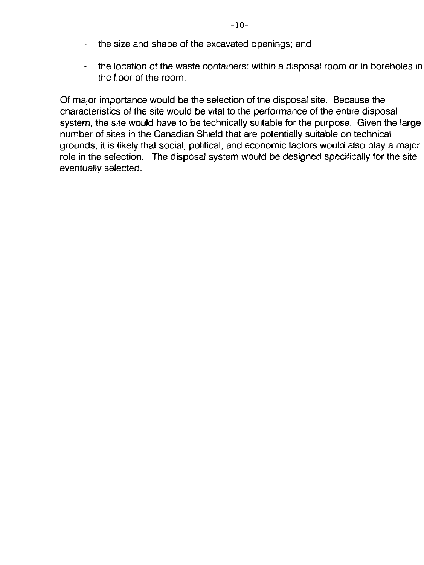- the size and shape of the excavated openings; and
- the location of the waste containers: within a disposal room or in boreholes in the floor of the room.

Of major importance would be the selection of the disposal site. Because the characteristics of the site would be vital to the performance of the entire disposal system, the site would have to be technically suitable for the purpose. Given the large number of sites in the Canadian Shield that are potentially suitable on technical grounds, it is likely that social, political, and economic factors would also play a major role in the selection. The disposal system would be designed specifically for the site eventually selected.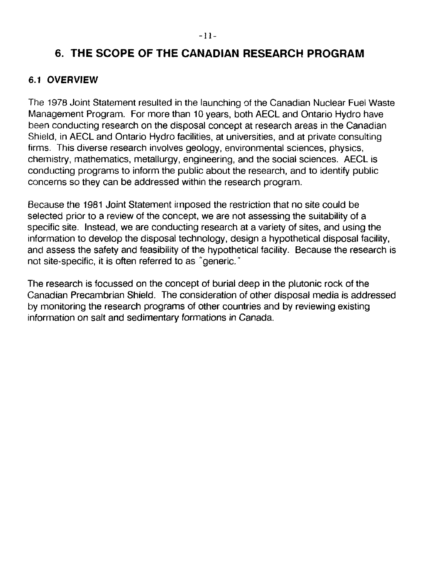## **6. THE SCOPE OF THE CANADIAN RESEARCH PROGRAM**

#### **6.1 OVERVIEW**

The 1978 Joint Statement resulted in the launching of the Canadian Nuclear Fuel Waste Management Program. For more than 10 years, both AECL and Ontario Hydro have been conducting research on the disposal concept at research areas in the Canadian Shield, in AECL and Ontario Hydro facilities, at universities, and at private consulting firms. This diverse research involves geology, environmental sciences, physics, chemistry, mathematics, metallurgy, engineering, and the social sciences. AECL is conducting programs to inform the public about the research, and to identify public concerns so they can be addressed within the research program.

Because the 1981 Joint Statement imposed the restriction that no site could be selected prior to a review of the concept, we are not assessing the suitability of a specific site. Instead, we are conducting research at a variety of sites, and using the information to develop the disposal technology, design a hypothetical disposal facility, and assess the safety and feasibility of the hypothetical facility. Because the research is not site-specific, it is often referred to as "generic."

The research is focussed on the concept of burial deep in the plutonic rock of the Canadian Precambrian Shield. The consideration of other disposal media is addressed by monitoring the research programs of other countries and by reviewing existing information on salt and sedimentary formations in Canada.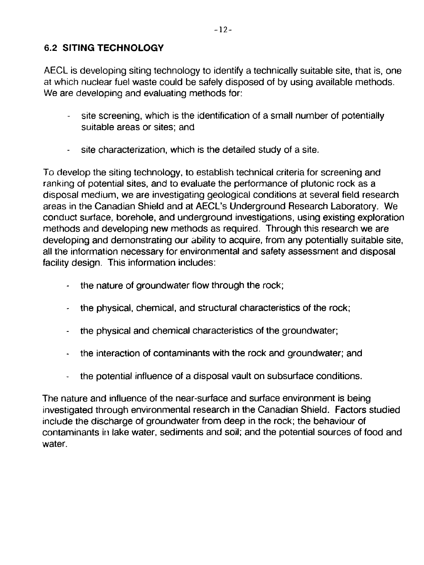### **6.2 SITING TECHNOLOGY**

AECL is developing siting technology to identify a technically suitable site, that is, one at which nuclear fuel waste could be safely disposed of by using available methods. We are developing and evaluating methods for:

- site screening, which is the identification of a small number of potentially suitable areas or sites; and
- site characterization, which is the detailed study of a site.

To develop the siting technology, to establish technical criteria for screening and ranking of potential sites, and to evaluate the performance of plutonic rock as a disposal medium, we are investigating geological conditions at several field research areas in the Canadian Shield and at AECL's Underground Research Laboratory. We conduct surface, borehole, and underground investigations, using existing exploration methods and developing new methods as required. Through this research we are developing and demonstrating our ability to acquire, from any potentially suitable site, all the information necessary for environmental and safety assessment and disposal facility design. This information includes:

- the nature of groundwater flow through the rock;
- the physical, chemical, and structural characteristics of the rock;
- the physical and chemical characteristics of the groundwater;
- the interaction of contaminants with the rock and groundwater; and
- the potential influence of a disposal vault on subsurface conditions.

The nature and influence of the near-surface and surface environment is being investigated through environmental research in the Canadian Shield. Factors studied include the discharge of groundwater from deep in the rock; the behaviour of contaminants in lake water, sediments and soil; and the potential sources of food and water.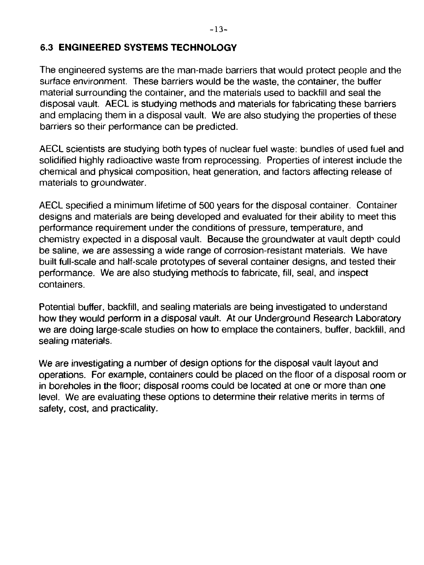#### **6.3 ENGINEERED SYSTEMS TECHNOLOGY**

The engineered systems are the man-made barriers that would protect people and the surface environment. These barriers would be the waste, the container, the buffer material surrounding the container, and the materials used to backfill and seal the disposal vault. AECL is studying methods and materials for fabricating these barriers and emplacing them in a disposal vault. We are also studying the properties of these barriers so their performance can be predicted.

AECL scientists are studying both types of nuclear fuel waste: bundles of used fuel and solidified highly radioactive waste from reprocessing. Properties of interest include the chemical and physical composition, heat generation, and factors affecting release of materials to groundwater.

AECL specified a minimum lifetime of 500 years for the disposal container. Container designs and materials are being developed and evaluated for their ability to meet this performance requirement under the conditions of pressure, temperature, and chemistry expected in a disposal vault. Because the groundwater at vault depth could be saline, we are assessing a wide range of corrosion-resistant materials. We have built full-scale and half-scale prototypes of several container designs, and tested their performance. We are also studying methods to fabricate, fill, seal, and inspect containers.

Potential buffer, backfill, and sealing materials are being investigated to understand how they would perform in a disposal vault. At our Underground Research Laboratory we are doing large-scale studies on how to emplace the containers, buffer, backfill, and sealing materials.

We are investigating a number of design options for the disposal vault layout and operations. For example, containers could be placed on the floor of a disposal room or in boreholes in the floor; disposal rooms could be located at one or more than one level. We are evaluating these options to determine their relative merits in terms of safety, cost, and practicality.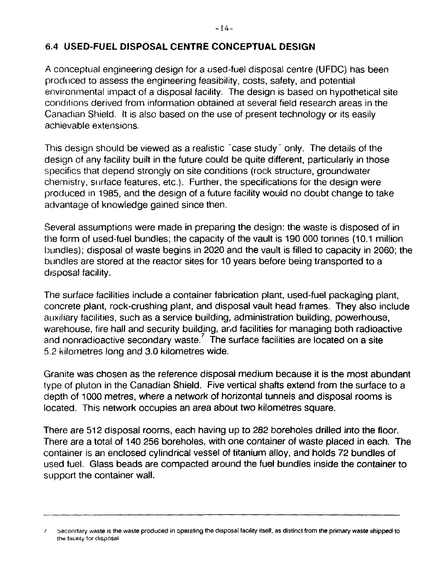#### **6.4 USED-FUEL DISPOSAL CENTRE CONCEPTUAL DESIGN**

A conceptual engineering design for a used-fuel disposal centre (UFDC) has been produced to assess the engineering feasibility, costs, safety, and potential environmental impact of a disposal facility. The design is based on hypothetical site conditions derived from information obtained at several field research areas in the Canadian Shield. It is also based on the use of present technology or its easily achievable extensions.

This design should be viewed as a realistic "case study" only. The details of the design of any facility built in the future could be quite different, particularly in those specifics that depend strongly on site conditions (rock structure, groundwater chemistry, surface features, etc.). Further, the specifications for the design were produced in 1985, and the design of a future facility wouid no doubt change to take advantage of knowledge gained since then.

Several assumptions were made in preparing the design: the waste is disposed of in the form of used-fuel bundles; the capacity of the vault is 190 000 tonnes (10.1 million bundles); disposal of waste begins in 2020 and the vault is filled to capacity in 2060; the bundles are stored at the reactor sites for 10 years before being transported to a disposal facility.

The surface facilities include a container fabrication plant, used-fuel packaging plant, concrete plant, rock-crushing plant, and disposal vault head frames. They also include auxiliary facilities, such as a service building, administration building, powerhouse, warehouse, fire hall and security building, and facilities for managing both radioactive and nonradioactive secondary waste.<sup>7</sup> The surface facilities are located on a site 5.2 kilometres long and 3.0 kilometres wide.

Granite was chosen as the reference disposal medium because it is the most abundant type of pluton in the Canadian Shield. Five vertical shafts extend from the surface to a depth of 1000 metres, where a network of horizontal tunnels and disposal rooms is located. This network occupies an area about two kilometres square.

There are 512 disposal rooms, each having up to 282 boreholes drilled into the floor. There are a total of 140 256 boreholes, with one container of waste placed in each. The container is an enclosed cylindrical vessel of titanium alloy, and holds 72 bundles of used fuel. Glass beads are compacted around the fuel bundles inside the container to support the container wall.

<sup>/</sup> secondary waste is the waste produced in operating the disposal facility itself, as distinct from the primary waste shipped to the facility tor disposal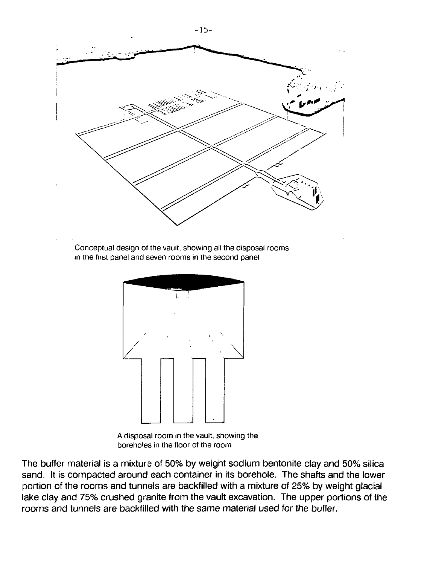

A disposal room in the vault, showing the boreholes in the floor of the room

The buffer material is a mixture of 50% by weight sodium bentonite clay and 50% silica sand. It is compacted around each container in its borehole. The shafts and the lower portion of the rooms and tunnels are backfilled with a mixture of 25% by weight glacial lake clay and 75% crushed granite from the vault excavation. The upper portions of the rooms and tunnels are backfilled with the same material used for the buffer.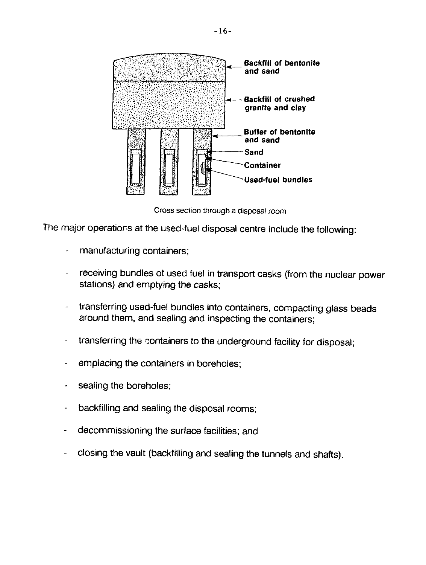

Cross section through a disposal room

The major operations at the used-fuel disposal centre include the following:

- manufacturing containers;
- receiving bundles of used fuel in transport casks (from the nuclear power stations) and emptying the casks;
- transferring used-fuel bundles into containers, compacting glass beads around them, and sealing and inspecting the containers;
- transferring the containers to the underground facility for disposal;
- emplacing the containers in boreholes;
- sealing the boreholes;
- backfilling and sealing the disposal rooms;
- decommissioning the surface facilities; and
- closing the vault (backfilling and sealing the tunnels and shafts).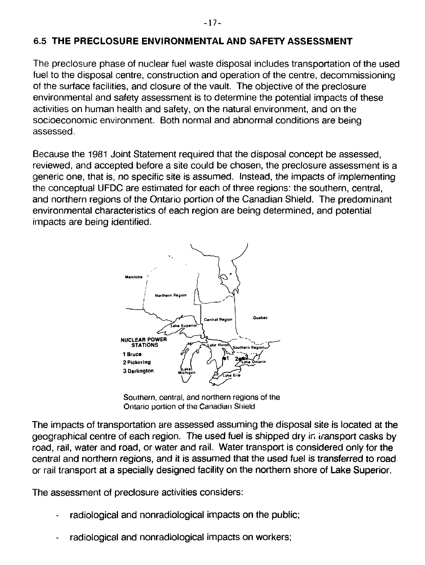#### **6.5 THE PRECLOSURE ENVIRONMENTAL AND SAFETY ASSESSMENT**

The preclosure phase of nuclear fuel waste disposal includes transportation of the used fuel to the disposal centre, construction and operation of the centre, decommissioning of the surface facilities, and closure of the vault. The objective of the preclosure environmental and safety assessment is to determine the potential impacts of these activities on human health and safety, on the natural environment, and on the socioeconomic environment. Both normal and abnormal conditions are being assessed.

Because the 1981 Joint Statement required that the disposal concept be assessed, reviewed, and accepted before a site could be chosen, the preclosure assessment is a generic one, that is, no specific site is assumed. Instead, the impacts of implementing the conceptual UFDC are estimated for each of three regions: the southern, central, and northern regions of the Ontario portion of the Canadian Shield. The predominant environmental characteristics of each region are being determined, and potential impacts are being identified.



Southern, central, and northern regions of the Ontario portion of the Canadian Shield

The impacts of transportation are assessed assuming the disposal site is located at the geographical centre of each region. The used fuel is shipped dry in transport casks by road, rail, water and road, or water and rail. Water transport is considered only for the central and northern regions, and it is assumed that the used fuel is transferred to road or rail transport at a specially designed facility on the northern shore of Lake Superior.

The assessment of preclosure activities considers:

- radiological and nonradiological impacts on the public;
- radiological and nonradiological impacts on workers;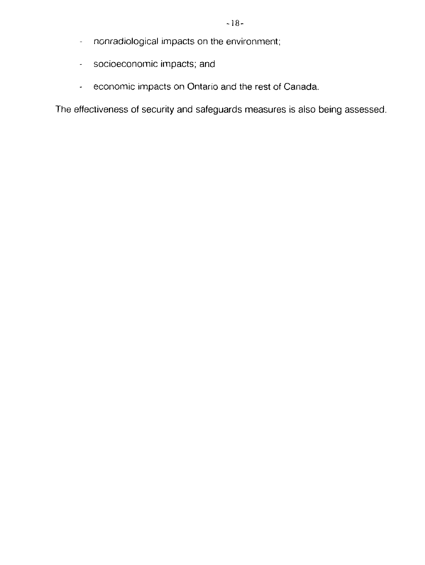- nonradiological impacts on the environment;  $\bar{\mathcal{L}}$
- socioeconomic impacts; and
- economic impacts on Ontario and the rest of Canada.  $\omega_{\rm{eff}}$

The effectiveness of security and safeguards measures is also being assessed.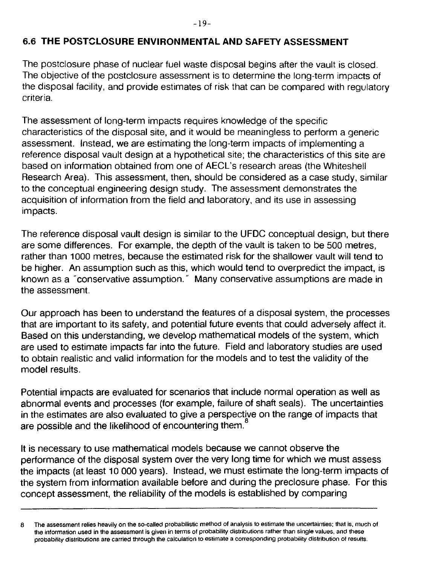### **6.6 THE POSTCLOSURE ENVIRONMENTAL AND SAFETY ASSESSMENT**

The postclosure phase of nuclear fuel waste disposal begins after the vault is closed. The objective of the postclosure assessment is to determine the long-term impacts of the disposal facility, and provide estimates of risk that can be compared with regulatory criteria.

The assessment of long-term impacts requires knowledge of the specific characteristics of the disposal site, and it would be meaningless to perform a generic assessment. Instead, we are estimating the long-term impacts of implementing a reference disposal vault design at a hypothetical site; the characteristics of this site are based on information obtained from one of AECL's research areas (the Whiteshell Research Area). This assessment, then, should be considered as a case study, similar to the conceptual engineering design study. The assessment demonstrates the acquisition of information from the field and laboratory, and its use in assessing impacts.

The reference disposal vault design is similar to the UFDC conceptual design, but there are some differences. For example, the depth of the vault is taken to be 500 metres, rather than 1000 metres, because the estimated risk for the shallower vault will tend to be higher. An assumption such as this, which would tend to overpredict the impact, is known as a "conservative assumption." Many conservative assumptions are made in the assessment.

Our approach has been to understand the features of a disposal system, the processes that are important to its safety, and potential future events that could adversely affect it. Based on this understanding, we develop mathematical models of the system, which are used to estimate impacts far into the future. Field and laboratory studies are used to obtain realistic and valid information for the models and to test the validity of the model results.

Potential impacts are evaluated for scenarios that include normal operation as well as abnormal events and processes (for example, failure of shaft seals). The uncertainties in the estimates are also evaluated to give a perspective on the range of impacts that are possible and the likelihood of encountering them.<sup>8</sup>

It is necessary to use mathematical models because we cannot observe the performance of the disposal system over the very long time for which we must assess the impacts (at least 10 000 years). Instead, we must estimate the long-term impacts of the system from information available before and during the preclosure phase. For this concept assessment, the reliability of the models is established by comparing

The assessment relies heavily on the so-called probabilistic method of analysis to estimate the uncertainties: that is, much of 8 the information used in the assessment is given in terms of probability distributions rather than single values, and these probability distributions are carried through the calculation to estimate a corresponding probability distribution of results.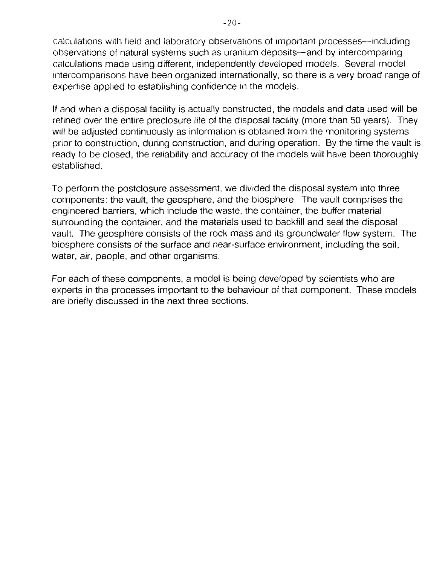calculations with field and laboratory observations of important processes—including observations of natural systems such as uranium deposits—and by intercomparing calculations made using different, independently developed models. Several model intercomparisons have been organized internationally, so there is a very broad range of expertise applied to establishing confidence in the models.

If and when a disposal facility is actually constructed, the models and data used will be refined over the entire preclosure life of the disposal facility (more than 50 years). They will be adjusted continuously as information is obtained from the monitoring systems prior to construction, during construction, and during operation. By the time the vault is ready to be closed, the reliability and accuracy of the models will have been thoroughly established.

To perform the postclosure assessment, we divided the disposal system into three components: the vault, the geosphere, and the biosphere. The vault comprises the engineered barriers, which include the waste, the container, the buffer material surrounding the container, and the materials used to backfill and seal the disposal vault. The geosphere consists of the rock mass and its groundwater flow system. The biosphere consists of the surface and near-surface environment, including the soil, water, air, people, and other organisms.

For each of these components, a model is being developed by scientists who are experts in the processes important to the behaviour of that component. These models are briefly discussed in the next three sections.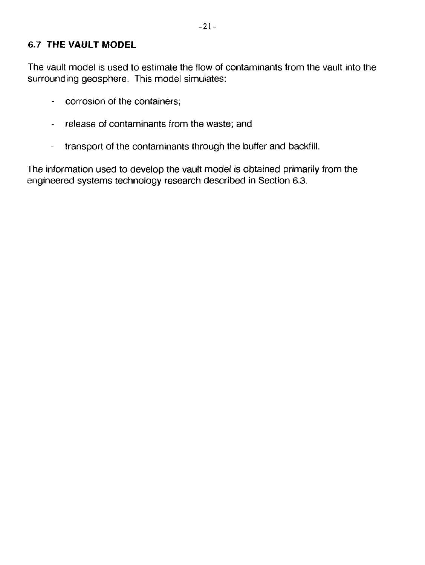#### 6.7 THE VAULT MODEL

The vault model is used to estimate the flow of contaminants from the vault into the surrounding geosphere. This model simulates:

- corrosion of the containers;
- release of contaminants from the waste; and
- transport of the contaminants through the buffer and backfill.

The information used to develop the vault model is obtained primarily from the engineered systems technology research described in Section 6.3.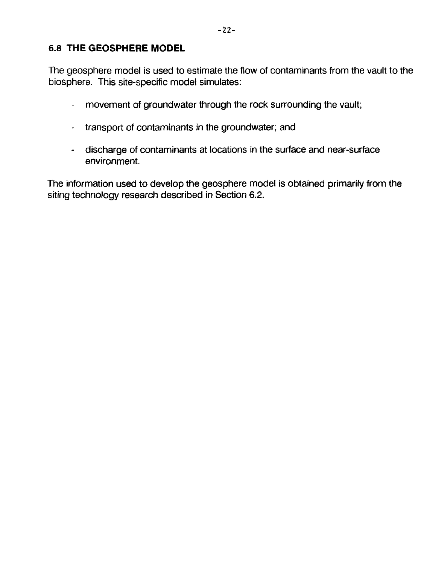#### 6.8 THE GEOSPHERE MODEL

The geosphere model is used to estimate the flow of contaminants from the vault to the biosphere. This site-specific model simulates:

- movement of groundwater through the rock surrounding the vault;
- transport of contaminants in the groundwater; and
- discharge of contaminants at locations in the surface and near-surface environment.

The information used to develop the geosphere model is obtained primarily from the siting technology research described in Section 6.2.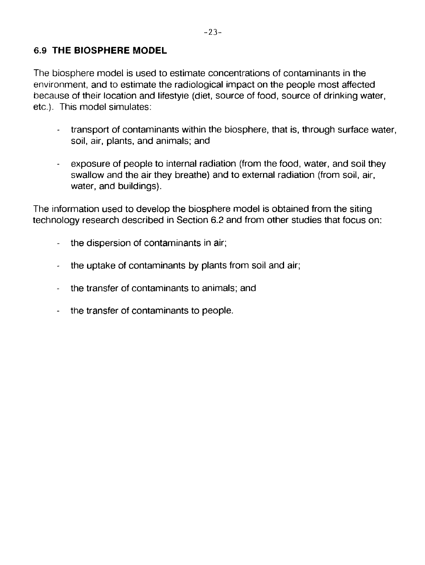The biosphere model is used to estimate concentrations of contaminants in the environment, and to estimate the radiological impact on the people most affected because of their location and lifestyle (diet, source of food, source of drinking water, etc.). This model simulates:

- transport of contaminants within the biosphere, that is, through surface water, soil, air, plants, and animals; and
- exposure of people to internal radiation (from the food, water, and soil they  $\omega_{\rm{max}}$ swallow and the air they breathe) and to external radiation (from soil, air, water, and buildings).

The information used to develop the biosphere model is obtained from the siting technology research described in Section 6.2 and from other studies that focus on:

- the dispersion of contaminants in air;
- the uptake of contaminants by plants from soil and air;
- the transfer of contaminants to animals; and  $\mathbb{R}^{\mathbb{Z}}$
- the transfer of contaminants to people.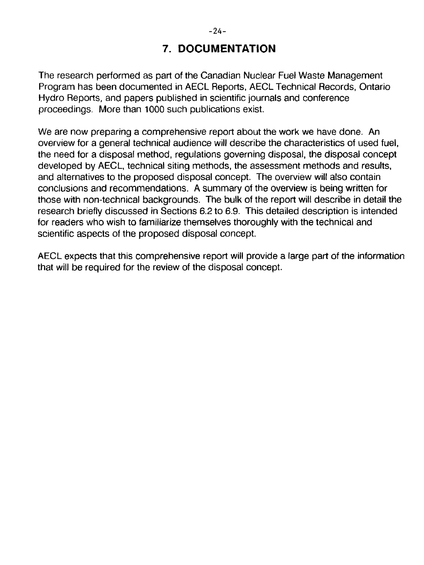## **7. DOCUMENTATION**

The research performed as part of the Canadian Nuclear Fuel Waste Management Program has been documented in AECL Reports, AECL Technical Records, Ontario Hydro Reports, and papers published in scientific journals and conference proceedings. More than 1000 such publications exist.

We are now preparing a comprehensive report about the work we have done. An overview for a general technical audience will describe the characteristics of used fuel, the need for a disposal method, regulations governing disposal, the disposal concept developed by AECL, technical siting methods, the assessment methods and results, and alternatives to the proposed disposal concept. The overview will also contain conclusions and recommendations. A summary of the overview is being written for those with non-technical backgrounds. The bulk of the report will describe in detail the research briefly discussed in Sections 6.2 to 6.9. This detailed description is intended for readers who wish to familiarize themselves thoroughly with the technical and scientific aspects of the proposed disposal concept.

AECL expects that this comprehensive report will provide a large part of the information that will be required for the review of the disposal concept.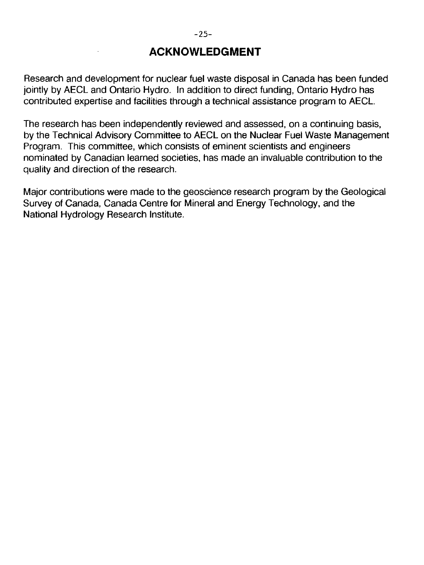## **ACKNOWLEDGMENT**

Research and development for nuclear fuel waste disposal in Canada has been funded jointly by AECL and Ontario Hydro. In addition to direct funding, Ontario Hydro has contributed expertise and facilities through a technical assistance program to AECL.

The research has been independently reviewed and assessed, on a continuing basis, by the Technical Advisory Committee to AECL on the Nuclear Fuel Waste Management Program. This committee, which consists of eminent scientists and engineers nominated by Canadian learned societies, has made an invaluable contribution to the quality and direction of the research.

Major contributions were made to the geoscience research program by the Geological Survey of Canada, Canada Centre for Mineral and Energy Technology, and the National Hydrology Research Institute.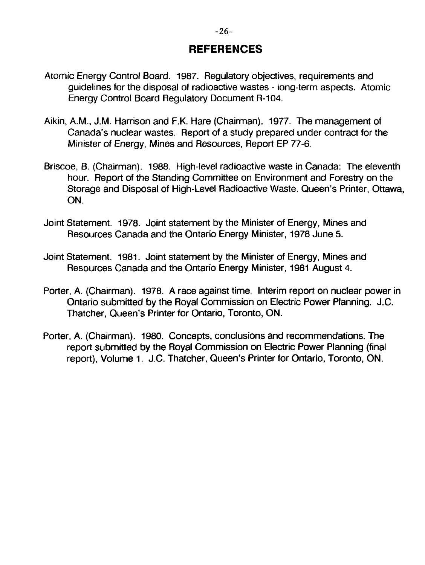## **REFERENCES**

- Atomic Energy Control Board. 1987. Regulatory objectives, requirements and guidelines for the disposal of radioactive wastes - long-term aspects. Atomic Energy Control Board Regulatory Document R-104.
- Aikin, A.M., J.M. Harrison and F.K. Hare (Chairman). 1977. The management of Canada's nuclear wastes. Report of a study prepared under contract for the Minister of Energy, Mines and Resources, Report EP 77-6.
- Briscoe, B. (Chairman). 1988. High-level radioactive waste in Canada: The eleventh hour. Report of the Standing Committee on Environment and Forestry on the Storage and Disposal of High-Level Radioactive Waste. Queen's Printer, Ottawa, ON.
- Joint Statement. 1978. Joint statement by the Minister of Energy, Mines and Resources Canada and the Ontario Energy Minister, 1978 June 5.
- Joint Statement. 1981. Joint statement by the Minister of Energy, Mines and Resources Canada and the Ontario Energy Minister, 1981 August 4.
- Porter, A. (Chairman). 1978. A race against time. Interim report on nuclear power in Ontario submitted by the Royal Commission on Electric Power Planning. J.C. Thatcher, Queen's Printer for Ontario, Toronto, ON.
- Porter, A. (Chairman). 1980. Concepts, conclusions and recommendations. The report submitted by the Royal Commission on Electric Power Planning (final report), Volume 1. J.C. Thatcher, Queen's Printer for Ontario, Toronto, ON.